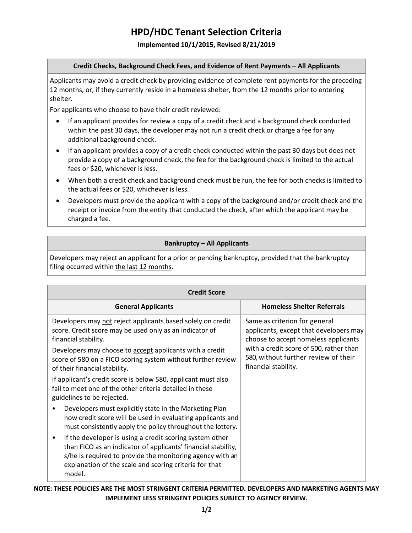# **HPD/HDC Tenant Selection Criteria**

### **Implemented 10/1/2015, Revised 8/21/2019**

#### **Credit Checks, Background Check Fees, and Evidence of Rent Payments – All Applicants**

Applicants may avoid a credit check by providing evidence of complete rent payments for the preceding 12 months, or, if they currently reside in a homeless shelter, from the 12 months prior to entering shelter.

For applicants who choose to have their credit reviewed:

- If an applicant provides for review a copy of a credit check and a background check conducted within the past 30 days, the developer may not run a credit check or charge a fee for any additional background check.
- If an applicant provides a copy of a credit check conducted within the past 30 days but does not provide a copy of a background check, the fee for the background check is limited to the actual fees or \$20, whichever is less.
- When both a credit check and background check must be run, the fee for both checks is limited to the actual fees or \$20, whichever is less.
- Developers must provide the applicant with a copy of the background and/or credit check and the receipt or invoice from the entity that conducted the check, after which the applicant may be charged a fee.

## **Bankruptcy – All Applicants**

Developers may reject an applicant for a prior or pending bankruptcy, provided that the bankruptcy filing occurred within the last 12 months.

| <b>Credit Score</b>                                                                                                                                                                                                                                                    |                                                                                                                                                                                                                            |
|------------------------------------------------------------------------------------------------------------------------------------------------------------------------------------------------------------------------------------------------------------------------|----------------------------------------------------------------------------------------------------------------------------------------------------------------------------------------------------------------------------|
| <b>General Applicants</b>                                                                                                                                                                                                                                              | <b>Homeless Shelter Referrals</b>                                                                                                                                                                                          |
| Developers may not reject applicants based solely on credit<br>score. Credit score may be used only as an indicator of<br>financial stability.                                                                                                                         | Same as criterion for general<br>applicants, except that developers may<br>choose to accept homeless applicants<br>with a credit score of 500, rather than<br>580, without further review of their<br>financial stability. |
| Developers may choose to <b>accept</b> applicants with a credit<br>score of 580 on a FICO scoring system without further review<br>of their financial stability.                                                                                                       |                                                                                                                                                                                                                            |
| If applicant's credit score is below 580, applicant must also<br>fail to meet one of the other criteria detailed in these<br>guidelines to be rejected.                                                                                                                |                                                                                                                                                                                                                            |
| Developers must explicitly state in the Marketing Plan<br>how credit score will be used in evaluating applicants and<br>must consistently apply the policy throughout the lottery.                                                                                     |                                                                                                                                                                                                                            |
| If the developer is using a credit scoring system other<br>$\bullet$<br>than FICO as an indicator of applicants' financial stability,<br>s/he is required to provide the monitoring agency with an<br>explanation of the scale and scoring criteria for that<br>model. |                                                                                                                                                                                                                            |

**NOTE: THESE POLICIES ARE THE MOST STRINGENT CRITERIA PERMITTED. DEVELOPERS AND MARKETING AGENTS MAY IMPLEMENT LESS STRINGENT POLICIES SUBJECT TO AGENCY REVIEW.**